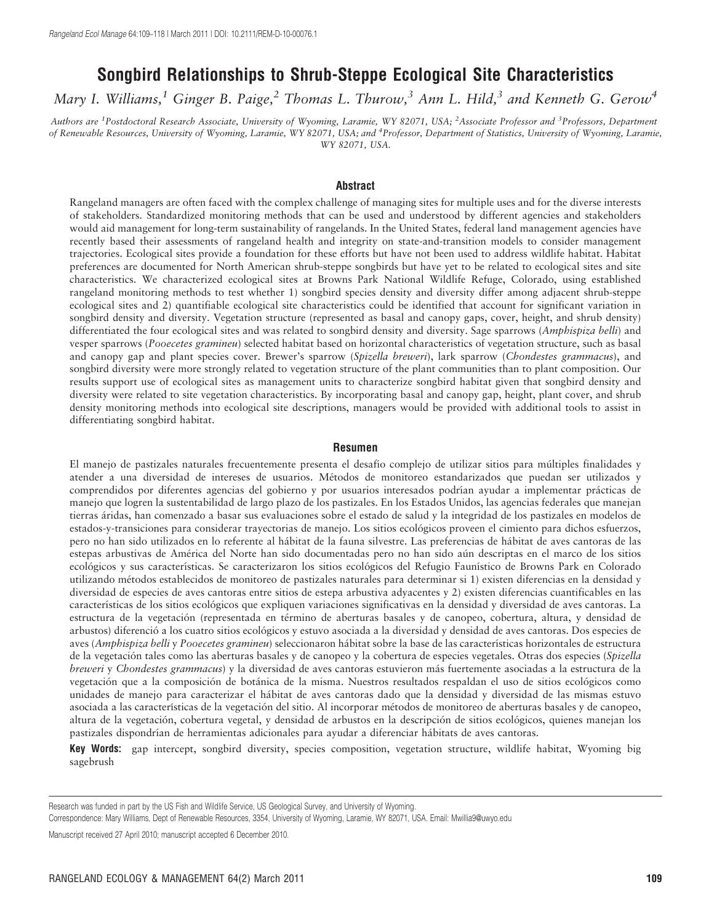# Songbird Relationships to Shrub-Steppe Ecological Site Characteristics

Mary I. Williams,<sup>1</sup> Ginger B. Paige,<sup>2</sup> Thomas L. Thurow,<sup>3</sup> Ann L. Hild,<sup>3</sup> and Kenneth G. Gerow<sup>4</sup>

Authors are <sup>1</sup>Postdoctoral Research Associate, University of Wyoming, Laramie, WY 82071, USA; <sup>2</sup>Associate Professor and <sup>3</sup>Professors, Department of Renewable Resources, University of Wyoming, Laramie, WY 82071, USA; and <sup>4</sup>Professor, Department of Statistics, University of Wyoming, Laramie, WY 82071, USA.

#### **Abstract**

Rangeland managers are often faced with the complex challenge of managing sites for multiple uses and for the diverse interests of stakeholders. Standardized monitoring methods that can be used and understood by different agencies and stakeholders would aid management for long-term sustainability of rangelands. In the United States, federal land management agencies have recently based their assessments of rangeland health and integrity on state-and-transition models to consider management trajectories. Ecological sites provide a foundation for these efforts but have not been used to address wildlife habitat. Habitat preferences are documented for North American shrub-steppe songbirds but have yet to be related to ecological sites and site characteristics. We characterized ecological sites at Browns Park National Wildlife Refuge, Colorado, using established rangeland monitoring methods to test whether 1) songbird species density and diversity differ among adjacent shrub-steppe ecological sites and 2) quantifiable ecological site characteristics could be identified that account for significant variation in songbird density and diversity. Vegetation structure (represented as basal and canopy gaps, cover, height, and shrub density) differentiated the four ecological sites and was related to songbird density and diversity. Sage sparrows (Amphispiza belli) and vesper sparrows (Pooecetes gramineu) selected habitat based on horizontal characteristics of vegetation structure, such as basal and canopy gap and plant species cover. Brewer's sparrow (Spizella breweri), lark sparrow (Chondestes grammacus), and songbird diversity were more strongly related to vegetation structure of the plant communities than to plant composition. Our results support use of ecological sites as management units to characterize songbird habitat given that songbird density and diversity were related to site vegetation characteristics. By incorporating basal and canopy gap, height, plant cover, and shrub density monitoring methods into ecological site descriptions, managers would be provided with additional tools to assist in differentiating songbird habitat.

#### Resumen

El manejo de pastizales naturales frecuentemente presenta el desafío complejo de utilizar sitios para múltiples finalidades y atender a una diversidad de intereses de usuarios. Métodos de monitoreo estandarizados que puedan ser utilizados y comprendidos por diferentes agencias del gobierno y por usuarios interesados podrían ayudar a implementar prácticas de manejo que logren la sustentabilidad de largo plazo de los pastizales. En los Estados Unidos, las agencias federales que manejan tierras a´ridas, han comenzado a basar sus evaluaciones sobre el estado de salud y la integridad de los pastizales en modelos de estados-y-transiciones para considerar trayectorias de manejo. Los sitios ecológicos proveen el cimiento para dichos esfuerzos, pero no han sido utilizados en lo referente al ha´bitat de la fauna silvestre. Las preferencias de ha´bitat de aves cantoras de las estepas arbustivas de América del Norte han sido documentadas pero no han sido aún descriptas en el marco de los sitios ecológicos y sus características. Se caracterizaron los sitios ecológicos del Refugio Faunístico de Browns Park en Colorado utilizando me´todos establecidos de monitoreo de pastizales naturales para determinar si 1) existen diferencias en la densidad y diversidad de especies de aves cantoras entre sitios de estepa arbustiva adyacentes y 2) existen diferencias cuantificables en las características de los sitios ecológicos que expliquen variaciones significativas en la densidad y diversidad de aves cantoras. La estructura de la vegetación (representada en término de aberturas basales y de canopeo, cobertura, altura, y densidad de arbustos) diferenció a los cuatro sitios ecológicos y estuvo asociada a la diversidad y densidad de aves cantoras. Dos especies de aves (Amphispiza belli y Pooecetes gramineu) seleccionaron hábitat sobre la base de las características horizontales de estructura de la vegetación tales como las aberturas basales y de canopeo y la cobertura de especies vegetales. Otras dos especies (Spizella breweri y Chondestes grammacus) y la diversidad de aves cantoras estuvieron más fuertemente asociadas a la estructura de la vegetación que a la composición de botánica de la misma. Nuestros resultados respaldan el uso de sitios ecológicos como unidades de manejo para caracterizar el hábitat de aves cantoras dado que la densidad y diversidad de las mismas estuvo asociada a las características de la vegetación del sitio. Al incorporar métodos de monitoreo de aberturas basales y de canopeo, altura de la vegetación, cobertura vegetal, y densidad de arbustos en la descripción de sitios ecológicos, quienes manejan los pastizales dispondrían de herramientas adicionales para ayudar a diferenciar hábitats de aves cantoras.

Key Words: gap intercept, songbird diversity, species composition, vegetation structure, wildlife habitat, Wyoming big sagebrush

Research was funded in part by the US Fish and Wildlife Service, US Geological Survey, and University of Wyoming.

Correspondence: Mary Williams, Dept of Renewable Resources, 3354, University of Wyoming, Laramie, WY 82071, USA. Email: Mwillia9@uwyo.edu

Manuscript received 27 April 2010; manuscript accepted 6 December 2010.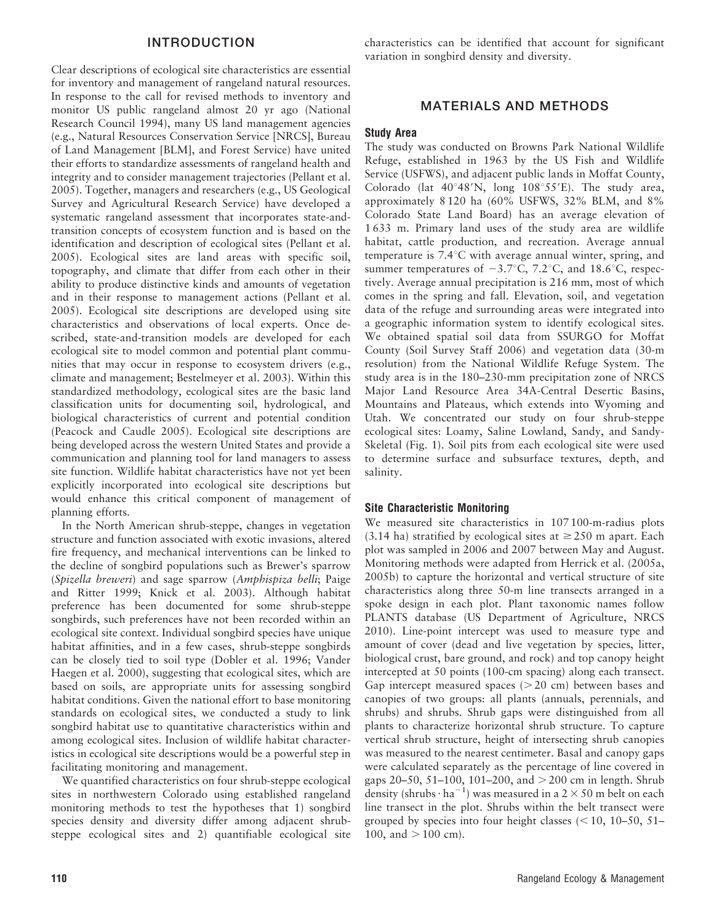### INTRODUCTION

Clear descriptions of ecological site characteristics are essential for inventory and management of rangeland natural resources. In response to the call for revised methods to inventory and monitor US public rangeland almost 20 yr ago (National Research Council 1994), many US land management agencies (e.g., Natural Resources Conservation Service [NRCS], Bureau of Land Management [BLM], and Forest Service) have united their efforts to standardize assessments of rangeland health and integrity and to consider management trajectories (Pellant et al. 2005). Together, managers and researchers (e.g., US Geological Survey and Agricultural Research Service) have developed a systematic rangeland assessment that incorporates state-andtransition concepts of ecosystem function and is based on the identification and description of ecological sites (Pellant et al. 2005). Ecological sites are land areas with specific soil, topography, and climate that differ from each other in their ability to produce distinctive kinds and amounts of vegetation and in their response to management actions (Pellant et al. 2005). Ecological site descriptions are developed using site characteristics and observations of local experts. Once described, state-and-transition models are developed for each ecological site to model common and potential plant communities that may occur in response to ecosystem drivers (e.g., climate and management; Bestelmeyer et al. 2003). Within this standardized methodology, ecological sites are the basic land classification units for documenting soil, hydrological, and biological characteristics of current and potential condition (Peacock and Caudle 2005). Ecological site descriptions are being developed across the western United States and provide a communication and planning tool for land managers to assess site function. Wildlife habitat characteristics have not yet been explicitly incorporated into ecological site descriptions but would enhance this critical component of management of planning efforts.

In the North American shrub-steppe, changes in vegetation structure and function associated with exotic invasions, altered fire frequency, and mechanical interventions can be linked to the decline of songbird populations such as Brewer's sparrow (Spizella breweri) and sage sparrow (Amphispiza belli; Paige and Ritter 1999; Knick et al. 2003). Although habitat preference has been documented for some shrub-steppe songbirds, such preferences have not been recorded within an ecological site context. Individual songbird species have unique habitat affinities, and in a few cases, shrub-steppe songbirds can be closely tied to soil type (Dobler et al. 1996; Vander Haegen et al. 2000), suggesting that ecological sites, which are based on soils, are appropriate units for assessing songbird habitat conditions. Given the national effort to base monitoring standards on ecological sites, we conducted a study to link songbird habitat use to quantitative characteristics within and among ecological sites. Inclusion of wildlife habitat characteristics in ecological site descriptions would be a powerful step in facilitating monitoring and management.

We quantified characteristics on four shrub-steppe ecological sites in northwestern Colorado using established rangeland monitoring methods to test the hypotheses that 1) songbird species density and diversity differ among adjacent shrubsteppe ecological sites and 2) quantifiable ecological site characteristics can be identified that account for significant variation in songbird density and diversity.

### MATERIALS AND METHODS

#### Study Area

The study was conducted on Browns Park National Wildlife Refuge, established in 1963 by the US Fish and Wildlife Service (USFWS), and adjacent public lands in Moffat County, Colorado (lat  $40^{\circ}48'N$ , long  $108^{\circ}55'E$ ). The study area, approximately 8 120 ha (60% USFWS, 32% BLM, and 8% Colorado State Land Board) has an average elevation of 1 633 m. Primary land uses of the study area are wildlife habitat, cattle production, and recreation. Average annual temperature is  $7.4^{\circ}$ C with average annual winter, spring, and summer temperatures of  $-3.7^{\circ}$ C, 7.2<sup>o</sup>C, and 18.6<sup>o</sup>C, respectively. Average annual precipitation is 216 mm, most of which comes in the spring and fall. Elevation, soil, and vegetation data of the refuge and surrounding areas were integrated into a geographic information system to identify ecological sites. We obtained spatial soil data from SSURGO for Moffat County (Soil Survey Staff 2006) and vegetation data (30-m resolution) from the National Wildlife Refuge System. The study area is in the 180–230-mm precipitation zone of NRCS Major Land Resource Area 34A-Central Desertic Basins, Mountains and Plateaus, which extends into Wyoming and Utah. We concentrated our study on four shrub-steppe ecological sites: Loamy, Saline Lowland, Sandy, and Sandy-Skeletal (Fig. 1). Soil pits from each ecological site were used to determine surface and subsurface textures, depth, and salinity.

#### Site Characteristic Monitoring

We measured site characteristics in 107 100-m-radius plots  $(3.14 \text{ ha})$  stratified by ecological sites at  $\geq 250 \text{ m}$  apart. Each plot was sampled in 2006 and 2007 between May and August. Monitoring methods were adapted from Herrick et al. (2005a, 2005b) to capture the horizontal and vertical structure of site characteristics along three 50-m line transects arranged in a spoke design in each plot. Plant taxonomic names follow PLANTS database (US Department of Agriculture, NRCS 2010). Line-point intercept was used to measure type and amount of cover (dead and live vegetation by species, litter, biological crust, bare ground, and rock) and top canopy height intercepted at 50 points (100-cm spacing) along each transect. Gap intercept measured spaces  $(>20 \text{ cm})$  between bases and canopies of two groups: all plants (annuals, perennials, and shrubs) and shrubs. Shrub gaps were distinguished from all plants to characterize horizontal shrub structure. To capture vertical shrub structure, height of intersecting shrub canopies was measured to the nearest centimeter. Basal and canopy gaps were calculated separately as the percentage of line covered in gaps 20–50, 51–100, 101–200, and  $>$  200 cm in length. Shrub density (shrubs  $\cdot$  ha<sup>-1</sup>) was measured in a 2  $\times$  50 m belt on each line transect in the plot. Shrubs within the belt transect were grouped by species into four height classes  $(< 10, 10-50, 51-$ 100, and  $> 100$  cm).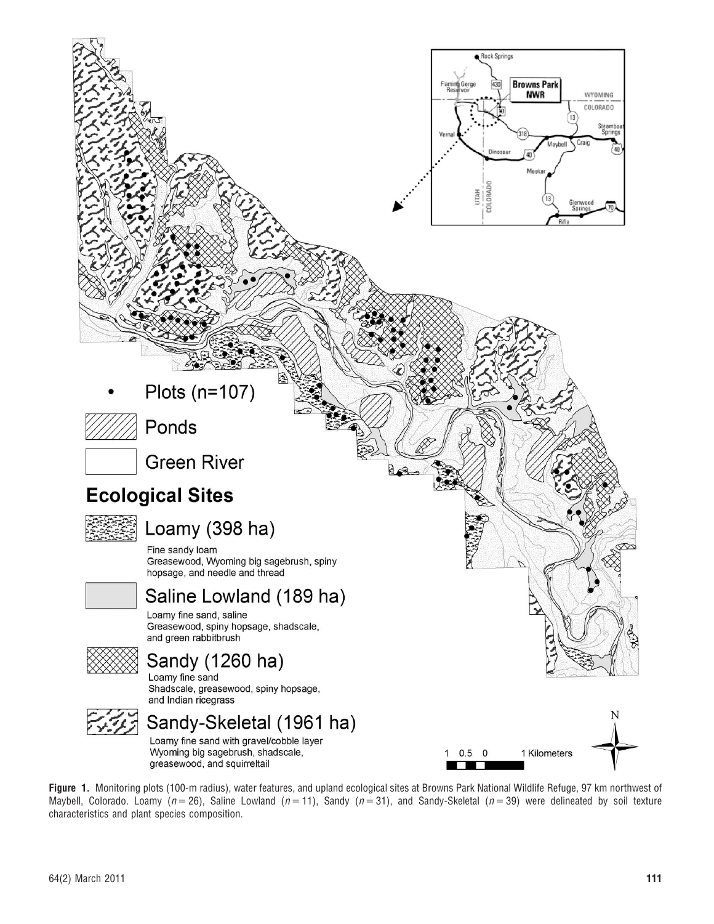

Figure 1. Monitoring plots (100-m radius), water features, and upland ecological sites at Browns Park National Wildlife Refuge, 97 km northwest of Maybell, Colorado. Loamy ( $n = 26$ ), Saline Lowland ( $n = 11$ ), Sandy ( $n = 31$ ), and Sandy-Skeletal ( $n = 39$ ) were delineated by soil texture characteristics and plant species composition.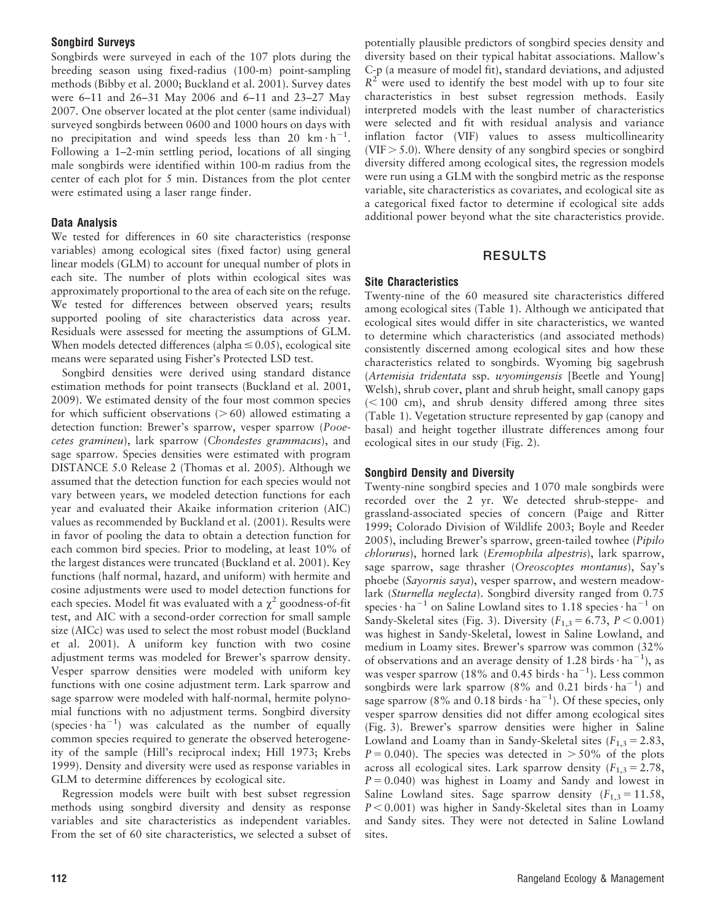### Songbird Surveys

Songbirds were surveyed in each of the 107 plots during the breeding season using fixed-radius (100-m) point-sampling methods (Bibby et al. 2000; Buckland et al. 2001). Survey dates were 6–11 and 26–31 May 2006 and 6–11 and 23–27 May 2007. One observer located at the plot center (same individual) surveyed songbirds between 0600 and 1000 hours on days with no precipitation and wind speeds less than 20  $km \cdot h^{-1}$ . Following a 1–2-min settling period, locations of all singing male songbirds were identified within 100-m radius from the center of each plot for 5 min. Distances from the plot center were estimated using a laser range finder.

### Data Analysis

We tested for differences in 60 site characteristics (response variables) among ecological sites (fixed factor) using general linear models (GLM) to account for unequal number of plots in each site. The number of plots within ecological sites was approximately proportional to the area of each site on the refuge. We tested for differences between observed years; results supported pooling of site characteristics data across year. Residuals were assessed for meeting the assumptions of GLM. When models detected differences (alpha  $\leq$  0.05), ecological site means were separated using Fisher's Protected LSD test.

Songbird densities were derived using standard distance estimation methods for point transects (Buckland et al. 2001, 2009). We estimated density of the four most common species for which sufficient observations  $($  > 60) allowed estimating a detection function: Brewer's sparrow, vesper sparrow (Pooecetes gramineu), lark sparrow (Chondestes grammacus), and sage sparrow. Species densities were estimated with program DISTANCE 5.0 Release 2 (Thomas et al. 2005). Although we assumed that the detection function for each species would not vary between years, we modeled detection functions for each year and evaluated their Akaike information criterion (AIC) values as recommended by Buckland et al. (2001). Results were in favor of pooling the data to obtain a detection function for each common bird species. Prior to modeling, at least 10% of the largest distances were truncated (Buckland et al. 2001). Key functions (half normal, hazard, and uniform) with hermite and cosine adjustments were used to model detection functions for each species. Model fit was evaluated with a  $\chi^2$  goodness-of-fit test, and AIC with a second-order correction for small sample size (AICc) was used to select the most robust model (Buckland et al. 2001). A uniform key function with two cosine adjustment terms was modeled for Brewer's sparrow density. Vesper sparrow densities were modeled with uniform key functions with one cosine adjustment term. Lark sparrow and sage sparrow were modeled with half-normal, hermite polynomial functions with no adjustment terms. Songbird diversity (species  $\cdot$  ha<sup>-1</sup>) was calculated as the number of equally common species required to generate the observed heterogeneity of the sample (Hill's reciprocal index; Hill 1973; Krebs 1999). Density and diversity were used as response variables in GLM to determine differences by ecological site.

Regression models were built with best subset regression methods using songbird diversity and density as response variables and site characteristics as independent variables. From the set of 60 site characteristics, we selected a subset of potentially plausible predictors of songbird species density and diversity based on their typical habitat associations. Mallow's C-p (a measure of model fit), standard deviations, and adjusted  $R<sup>2</sup>$  were used to identify the best model with up to four site characteristics in best subset regression methods. Easily interpreted models with the least number of characteristics were selected and fit with residual analysis and variance inflation factor (VIF) values to assess multicollinearity (VIF  $> 5.0$ ). Where density of any songbird species or songbird diversity differed among ecological sites, the regression models were run using a GLM with the songbird metric as the response variable, site characteristics as covariates, and ecological site as a categorical fixed factor to determine if ecological site adds additional power beyond what the site characteristics provide.

### RESULTS

### Site Characteristics

Twenty-nine of the 60 measured site characteristics differed among ecological sites (Table 1). Although we anticipated that ecological sites would differ in site characteristics, we wanted to determine which characteristics (and associated methods) consistently discerned among ecological sites and how these characteristics related to songbirds. Wyoming big sagebrush (Artemisia tridentata ssp. wyomingensis [Beetle and Young] Welsh), shrub cover, plant and shrub height, small canopy gaps  $(< 100$  cm), and shrub density differed among three sites (Table 1). Vegetation structure represented by gap (canopy and basal) and height together illustrate differences among four ecological sites in our study (Fig. 2).

### Songbird Density and Diversity

Twenty-nine songbird species and 1 070 male songbirds were recorded over the 2 yr. We detected shrub-steppe- and grassland-associated species of concern (Paige and Ritter 1999; Colorado Division of Wildlife 2003; Boyle and Reeder 2005), including Brewer's sparrow, green-tailed towhee (Pipilo chlorurus), horned lark (Eremophila alpestris), lark sparrow, sage sparrow, sage thrasher (Oreoscoptes montanus), Say's phoebe (Sayornis saya), vesper sparrow, and western meadowlark (Sturnella neglecta). Songbird diversity ranged from 0.75 species $\cdot$  ha<sup>-1</sup> on Saline Lowland sites to 1.18 species $\cdot$  ha<sup>-1</sup> on Sandy-Skeletal sites (Fig. 3). Diversity ( $F_{1,3} = 6.73$ ,  $P < 0.001$ ) was highest in Sandy-Skeletal, lowest in Saline Lowland, and medium in Loamy sites. Brewer's sparrow was common (32% of observations and an average density of 1.28 birds $\cdot$  ha<sup>-1</sup>), as was vesper sparrow (18% and 0.45 birds $\cdot$  ha<sup>-1</sup>). Less common songbirds were lark sparrow (8% and 0.21 birds  $\cdot$  ha<sup>-1</sup>) and sage sparrow (8% and 0.18 birds  $\cdot$  ha<sup>-1</sup>). Of these species, only vesper sparrow densities did not differ among ecological sites (Fig. 3). Brewer's sparrow densities were higher in Saline Lowland and Loamy than in Sandy-Skeletal sites  $(F_{1,3} = 2.83,$  $P = 0.040$ . The species was detected in  $> 50\%$  of the plots across all ecological sites. Lark sparrow density  $(F_{1,3} = 2.78,$  $P = 0.040$ ) was highest in Loamy and Sandy and lowest in Saline Lowland sites. Sage sparrow density  $(F_{1,3} = 11.58)$ ,  $P < 0.001$ ) was higher in Sandy-Skeletal sites than in Loamy and Sandy sites. They were not detected in Saline Lowland sites.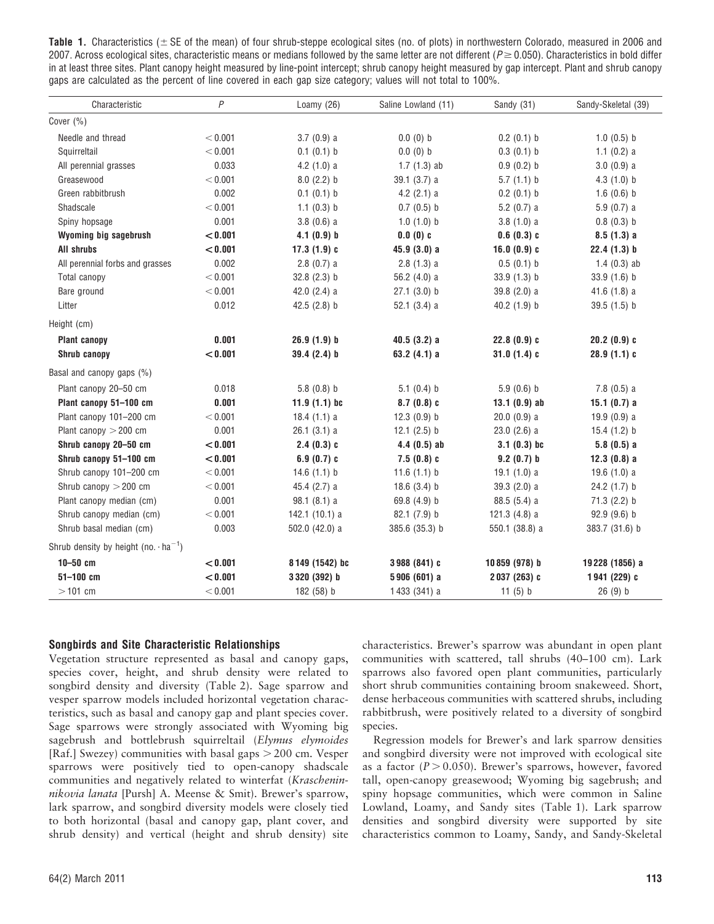Table 1. Characteristics ( $\pm$  SE of the mean) of four shrub-steppe ecological sites (no. of plots) in northwestern Colorado, measured in 2006 and 2007. Across ecological sites, characteristic means or medians followed by the same letter are not different ( $P \ge 0.050$ ). Characteristics in bold differ in at least three sites. Plant canopy height measured by line-point intercept; shrub canopy height measured by gap intercept. Plant and shrub canopy gaps are calculated as the percent of line covered in each gap size category; values will not total to 100%.

| Characteristic                                          | $\overline{P}$ | Loamy $(26)$    | Saline Lowland (11) | Sandy (31)      | Sandy-Skeletal (39) |
|---------------------------------------------------------|----------------|-----------------|---------------------|-----------------|---------------------|
| Cover $(\% )$                                           |                |                 |                     |                 |                     |
| Needle and thread                                       | < 0.001        | $3.7(0.9)$ a    | 0.0(0) b            | $0.2$ (0.1) b   | 1.0(0.5) b          |
| Squirreltail                                            | < 0.001        | 0.1(0.1) b      | 0.0(0) b            | 0.3(0.1) b      | 1.1 $(0.2)$ a       |
| All perennial grasses                                   | 0.033          | 4.2 $(1.0)$ a   | $1.7(1.3)$ ab       | 0.9(0.2) b      | 3.0(0.9) a          |
| Greasewood                                              | < 0.001        | $8.0(2.2)$ b    | 39.1 (3.7) a        | $5.7(1.1)$ b    | 4.3(1.0) b          |
| Green rabbitbrush                                       | 0.002          | 0.1(0.1) b      | 4.2 $(2.1)$ a       | $0.2$ (0.1) b   | 1.6(0.6) b          |
| Shadscale                                               | < 0.001        | 1.1 $(0.3)$ b   | $0.7(0.5)$ b        | 5.2 $(0.7)$ a   | 5.9(0.7) a          |
| Spiny hopsage                                           | 0.001          | 3.8(0.6) a      | 1.0 $(1.0)$ b       | 3.8(1.0) a      | 0.8(0.3) b          |
| Wyoming big sagebrush                                   | < 0.001        | $4.1(0.9)$ b    | $0.0(0)$ c          | 0.6(0.3)c       | 8.5(1.3)a           |
| All shrubs                                              | < 0.001        | 17.3(1.9)c      | 45.9(3.0)a          | 16.0(0.9)c      | 22.4(1.3)h          |
| All perennial forbs and grasses                         | 0.002          | 2.8(0.7) a      | 2.8(1.3) a          | 0.5(0.1) b      | 1.4 $(0.3)$ ab      |
| Total canopy                                            | < 0.001        | 32.8 (2.3) b    | 56.2 $(4.0)$ a      | 33.9 (1.3) b    | 33.9 (1.6) b        |
| Bare ground                                             | < 0.001        | 42.0 (2.4) a    | 27.1(3.0) b         | 39.8 (2.0) a    | 41.6 (1.8) a        |
| Litter                                                  | 0.012          | 42.5 $(2.8)$ b  | 52.1 $(3.4)$ a      | 40.2 (1.9) b    | 39.5 (1.5) b        |
| Height (cm)                                             |                |                 |                     |                 |                     |
| <b>Plant canopy</b>                                     | 0.001          | $26.9(1.9)$ b   | 40.5(3.2)a          | 22.8(0.9)c      | 20.2(0.9)c          |
| Shrub canopy                                            | < 0.001        | $39.4(2.4)$ b   | 63.2 $(4.1)$ a      | 31.0(1.4)c      | 28.9(1.1)c          |
| Basal and canopy gaps (%)                               |                |                 |                     |                 |                     |
| Plant canopy 20-50 cm                                   | 0.018          | $5.8(0.8)$ b    | 5.1 $(0.4)$ b       | 5.9(0.6) b      | 7.8(0.5) a          |
| Plant canopy 51-100 cm                                  | 0.001          | 11.9 $(1.1)$ bc | 8.7(0.8)c           | 13.1 $(0.9)$ ab | 15.1 $(0.7)$ a      |
| Plant canopy 101-200 cm                                 | < 0.001        | 18.4 $(1.1)$ a  | 12.3(0.9) b         | 20.0(0.9) a     | 19.9 $(0.9)$ a      |
| Plant canopy $>$ 200 cm                                 | 0.001          | 26.1(3.1)a      | 12.1 $(2.5)$ b      | $23.0(2.6)$ a   | 15.4 $(1.2)$ b      |
| Shrub canopy 20-50 cm                                   | < 0.001        | 2.4(0.3)c       | $4.4(0.5)$ ab       | $3.1(0.3)$ bc   | 5.8(0.5) a          |
| Shrub canopy 51-100 cm                                  | < 0.001        | 6.9(0.7)c       | 7.5(0.8)c           | 9.2(0.7) b      | 12.3(0.8) a         |
| Shrub canopy 101-200 cm                                 | < 0.001        | 14.6 $(1.1)$ b  | 11.6 $(1.1)$ b      | 19.1 $(1.0)$ a  | 19.6 $(1.0)$ a      |
| Shrub canopy $>$ 200 cm                                 | < 0.001        | 45.4 (2.7) a    | 18.6 $(3.4)$ b      | 39.3 (2.0) a    | $24.2$ (1.7) b      |
| Plant canopy median (cm)                                | 0.001          | 98.1(8.1)a      | 69.8 $(4.9)$ b      | 88.5 (5.4) a    | $71.3$ (2.2) b      |
| Shrub canopy median (cm)                                | < 0.001        | 142.1 (10.1) a  | 82.1(7.9) b         | 121.3 (4.8) a   | 92.9 (9.6) b        |
| Shrub basal median (cm)                                 | 0.003          | 502.0 (42.0) a  | 385.6 (35.3) b      | 550.1 (38.8) a  | 383.7 (31.6) b      |
| Shrub density by height (no. $\cdot$ ha <sup>-1</sup> ) |                |                 |                     |                 |                     |
| $10 - 50$ cm                                            | < 0.001        | 8149 (1542) bc  | 3988 (841) c        | 10859 (978) b   | 19228 (1856) a      |
| $51 - 100$ cm                                           | < 0.001        | 3320 (392) b    | 5906 (601) a        | $2037(263)$ c   | 1941 (229) c        |
| $>101$ cm                                               | < 0.001        | 182 (58) b      | 1433 (341) a        | 11 $(5)$ b      | 26(9) b             |

#### Songbirds and Site Characteristic Relationships

Vegetation structure represented as basal and canopy gaps, species cover, height, and shrub density were related to songbird density and diversity (Table 2). Sage sparrow and vesper sparrow models included horizontal vegetation characteristics, such as basal and canopy gap and plant species cover. Sage sparrows were strongly associated with Wyoming big sagebrush and bottlebrush squirreltail (Elymus elymoides [Raf.] Swezey) communities with basal gaps  $>$  200 cm. Vesper sparrows were positively tied to open-canopy shadscale communities and negatively related to winterfat (Krascheninnikovia lanata [Pursh] A. Meense & Smit). Brewer's sparrow, lark sparrow, and songbird diversity models were closely tied to both horizontal (basal and canopy gap, plant cover, and shrub density) and vertical (height and shrub density) site characteristics. Brewer's sparrow was abundant in open plant communities with scattered, tall shrubs (40–100 cm). Lark sparrows also favored open plant communities, particularly short shrub communities containing broom snakeweed. Short, dense herbaceous communities with scattered shrubs, including rabbitbrush, were positively related to a diversity of songbird species.

Regression models for Brewer's and lark sparrow densities and songbird diversity were not improved with ecological site as a factor ( $P > 0.050$ ). Brewer's sparrows, however, favored tall, open-canopy greasewood; Wyoming big sagebrush; and spiny hopsage communities, which were common in Saline Lowland, Loamy, and Sandy sites (Table 1). Lark sparrow densities and songbird diversity were supported by site characteristics common to Loamy, Sandy, and Sandy-Skeletal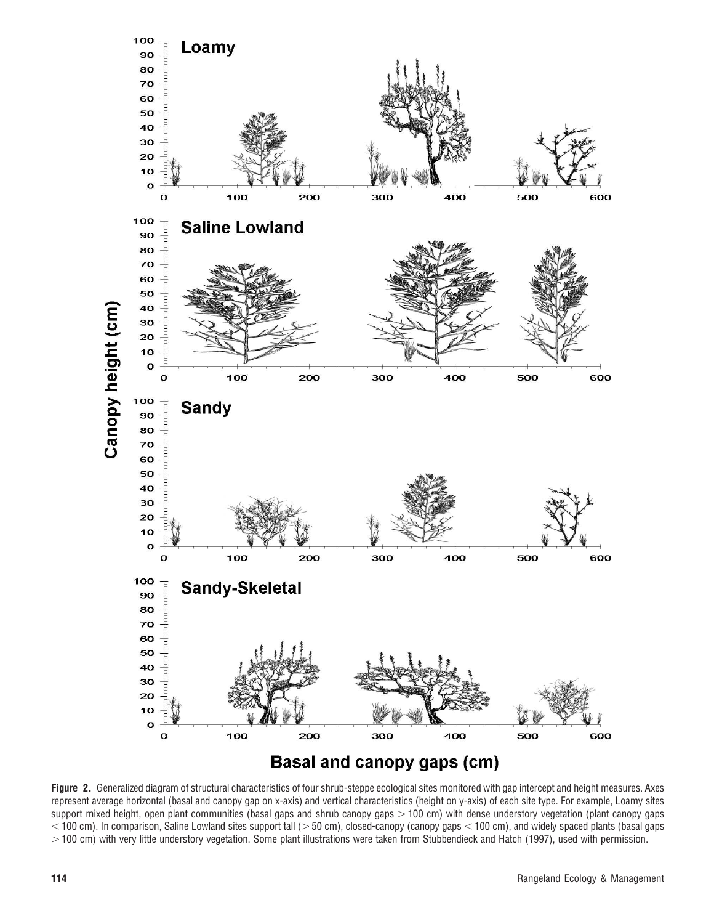

Figure 2. Generalized diagram of structural characteristics of four shrub-steppe ecological sites monitored with gap intercept and height measures. Axes represent average horizontal (basal and canopy gap on x-axis) and vertical characteristics (height on y-axis) of each site type. For example, Loamy sites support mixed height, open plant communities (basal gaps and shrub canopy gaps > 100 cm) with dense understory vegetation (plant canopy gaps  $<$  100 cm). In comparison, Saline Lowland sites support tall ( $>$  50 cm), closed-canopy (canopy gaps  $<$  100 cm), and widely spaced plants (basal gaps . 100 cm) with very little understory vegetation. Some plant illustrations were taken from Stubbendieck and Hatch (1997), used with permission.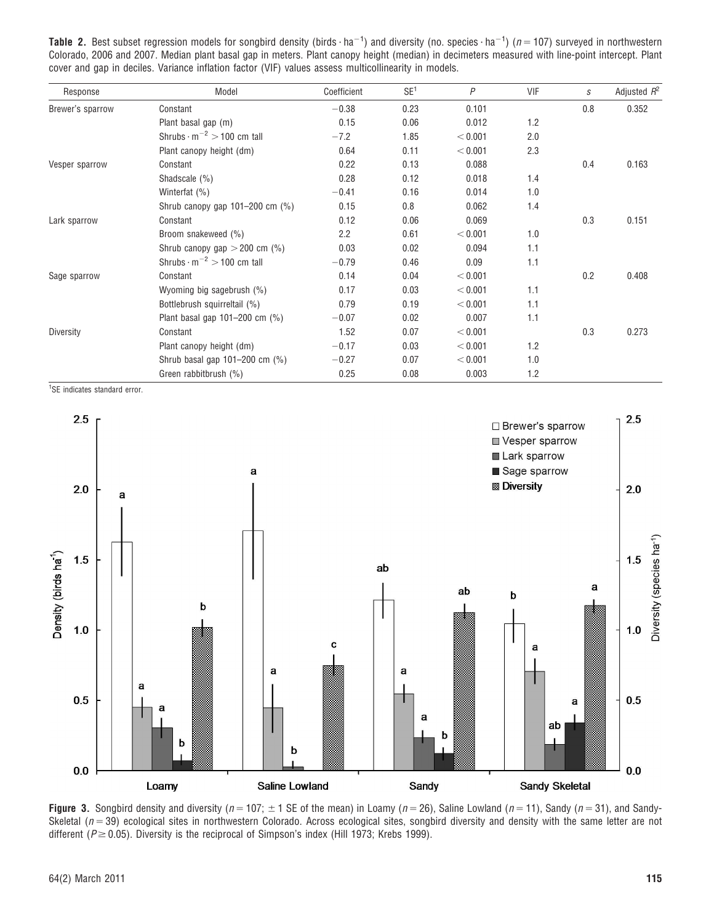**Table 2.** Best subset regression models for songbird density (birds  $\cdot$  ha $^{-1}$ ) and diversity (no. species  $\cdot$  ha $^{-1}$ ) ( $n$  = 107) surveyed in northwestern Colorado, 2006 and 2007. Median plant basal gap in meters. Plant canopy height (median) in decimeters measured with line-point intercept. Plant cover and gap in deciles. Variance inflation factor (VIF) values assess multicollinearity in models.

| Response         | Model                                          | Coefficient | SE <sup>1</sup> | $\overline{P}$ | VIF | S   | Adjusted $R^2$ |
|------------------|------------------------------------------------|-------------|-----------------|----------------|-----|-----|----------------|
| Brewer's sparrow | Constant                                       | $-0.38$     | 0.23            | 0.101          |     | 0.8 | 0.352          |
|                  | Plant basal gap (m)                            | 0.15        | 0.06            | 0.012          | 1.2 |     |                |
|                  | Shrubs $\cdot$ m <sup>-2</sup> $>$ 100 cm tall | $-7.2$      | 1.85            | < 0.001        | 2.0 |     |                |
|                  | Plant canopy height (dm)                       | 0.64        | 0.11            | < 0.001        | 2.3 |     |                |
| Vesper sparrow   | Constant                                       | 0.22        | 0.13            | 0.088          |     | 0.4 | 0.163          |
|                  | Shadscale (%)                                  | 0.28        | 0.12            | 0.018          | 1.4 |     |                |
|                  | Winterfat (%)                                  | $-0.41$     | 0.16            | 0.014          | 1.0 |     |                |
|                  | Shrub canopy gap $101-200$ cm $(\%)$           | 0.15        | 0.8             | 0.062          | 1.4 |     |                |
| Lark sparrow     | Constant                                       | 0.12        | 0.06            | 0.069          |     | 0.3 | 0.151          |
|                  | Broom snakeweed (%)                            | 2.2         | 0.61            | < 0.001        | 1.0 |     |                |
|                  | Shrub canopy gap $>$ 200 cm (%)                | 0.03        | 0.02            | 0.094          | 1.1 |     |                |
|                  | Shrubs $\cdot$ m <sup>-2</sup> $>$ 100 cm tall | $-0.79$     | 0.46            | 0.09           | 1.1 |     |                |
| Sage sparrow     | Constant                                       | 0.14        | 0.04            | < 0.001        |     | 0.2 | 0.408          |
|                  | Wyoming big sagebrush (%)                      | 0.17        | 0.03            | < 0.001        | 1.1 |     |                |
|                  | Bottlebrush squirreltail (%)                   | 0.79        | 0.19            | < 0.001        | 1.1 |     |                |
|                  | Plant basal gap $101-200$ cm $(\%)$            | $-0.07$     | 0.02            | 0.007          | 1.1 |     |                |
| Diversity        | Constant                                       | 1.52        | 0.07            | < 0.001        |     | 0.3 | 0.273          |
|                  | Plant canopy height (dm)                       | $-0.17$     | 0.03            | < 0.001        | 1.2 |     |                |
|                  | Shrub basal gap 101-200 cm (%)                 | $-0.27$     | 0.07            | < 0.001        | 1.0 |     |                |
|                  | Green rabbitbrush (%)                          | 0.25        | 0.08            | 0.003          | 1.2 |     |                |

<sup>1</sup>SE indicates standard error.



Figure 3. Songbird density and diversity ( $n = 107$ ;  $\pm 1$  SE of the mean) in Loamy ( $n = 26$ ), Saline Lowland ( $n = 11$ ), Sandy ( $n = 31$ ), and Sandy-Skeletal  $(n=39)$  ecological sites in northwestern Colorado. Across ecological sites, songbird diversity and density with the same letter are not different ( $P \ge 0.05$ ). Diversity is the reciprocal of Simpson's index (Hill 1973; Krebs 1999).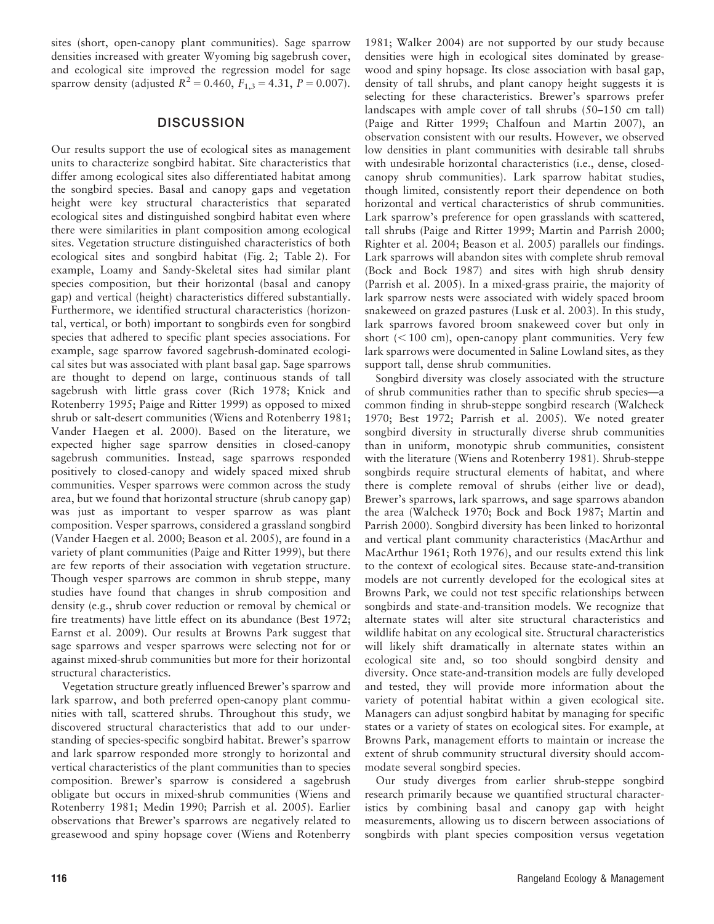sites (short, open-canopy plant communities). Sage sparrow densities increased with greater Wyoming big sagebrush cover, and ecological site improved the regression model for sage sparrow density (adjusted  $R^2 = 0.460$ ,  $F_{1,3} = 4.31$ ,  $P = 0.007$ ).

#### **DISCUSSION**

Our results support the use of ecological sites as management units to characterize songbird habitat. Site characteristics that differ among ecological sites also differentiated habitat among the songbird species. Basal and canopy gaps and vegetation height were key structural characteristics that separated ecological sites and distinguished songbird habitat even where there were similarities in plant composition among ecological sites. Vegetation structure distinguished characteristics of both ecological sites and songbird habitat (Fig. 2; Table 2). For example, Loamy and Sandy-Skeletal sites had similar plant species composition, but their horizontal (basal and canopy gap) and vertical (height) characteristics differed substantially. Furthermore, we identified structural characteristics (horizontal, vertical, or both) important to songbirds even for songbird species that adhered to specific plant species associations. For example, sage sparrow favored sagebrush-dominated ecological sites but was associated with plant basal gap. Sage sparrows are thought to depend on large, continuous stands of tall sagebrush with little grass cover (Rich 1978; Knick and Rotenberry 1995; Paige and Ritter 1999) as opposed to mixed shrub or salt-desert communities (Wiens and Rotenberry 1981; Vander Haegen et al. 2000). Based on the literature, we expected higher sage sparrow densities in closed-canopy sagebrush communities. Instead, sage sparrows responded positively to closed-canopy and widely spaced mixed shrub communities. Vesper sparrows were common across the study area, but we found that horizontal structure (shrub canopy gap) was just as important to vesper sparrow as was plant composition. Vesper sparrows, considered a grassland songbird (Vander Haegen et al. 2000; Beason et al. 2005), are found in a variety of plant communities (Paige and Ritter 1999), but there are few reports of their association with vegetation structure. Though vesper sparrows are common in shrub steppe, many studies have found that changes in shrub composition and density (e.g., shrub cover reduction or removal by chemical or fire treatments) have little effect on its abundance (Best 1972; Earnst et al. 2009). Our results at Browns Park suggest that sage sparrows and vesper sparrows were selecting not for or against mixed-shrub communities but more for their horizontal structural characteristics.

Vegetation structure greatly influenced Brewer's sparrow and lark sparrow, and both preferred open-canopy plant communities with tall, scattered shrubs. Throughout this study, we discovered structural characteristics that add to our understanding of species-specific songbird habitat. Brewer's sparrow and lark sparrow responded more strongly to horizontal and vertical characteristics of the plant communities than to species composition. Brewer's sparrow is considered a sagebrush obligate but occurs in mixed-shrub communities (Wiens and Rotenberry 1981; Medin 1990; Parrish et al. 2005). Earlier observations that Brewer's sparrows are negatively related to greasewood and spiny hopsage cover (Wiens and Rotenberry

1981; Walker 2004) are not supported by our study because densities were high in ecological sites dominated by greasewood and spiny hopsage. Its close association with basal gap, density of tall shrubs, and plant canopy height suggests it is selecting for these characteristics. Brewer's sparrows prefer landscapes with ample cover of tall shrubs (50–150 cm tall) (Paige and Ritter 1999; Chalfoun and Martin 2007), an observation consistent with our results. However, we observed low densities in plant communities with desirable tall shrubs with undesirable horizontal characteristics (i.e., dense, closedcanopy shrub communities). Lark sparrow habitat studies, though limited, consistently report their dependence on both horizontal and vertical characteristics of shrub communities. Lark sparrow's preference for open grasslands with scattered, tall shrubs (Paige and Ritter 1999; Martin and Parrish 2000; Righter et al. 2004; Beason et al. 2005) parallels our findings. Lark sparrows will abandon sites with complete shrub removal (Bock and Bock 1987) and sites with high shrub density (Parrish et al. 2005). In a mixed-grass prairie, the majority of lark sparrow nests were associated with widely spaced broom snakeweed on grazed pastures (Lusk et al. 2003). In this study, lark sparrows favored broom snakeweed cover but only in short  $(< 100$  cm), open-canopy plant communities. Very few lark sparrows were documented in Saline Lowland sites, as they support tall, dense shrub communities.

Songbird diversity was closely associated with the structure of shrub communities rather than to specific shrub species—a common finding in shrub-steppe songbird research (Walcheck 1970; Best 1972; Parrish et al. 2005). We noted greater songbird diversity in structurally diverse shrub communities than in uniform, monotypic shrub communities, consistent with the literature (Wiens and Rotenberry 1981). Shrub-steppe songbirds require structural elements of habitat, and where there is complete removal of shrubs (either live or dead), Brewer's sparrows, lark sparrows, and sage sparrows abandon the area (Walcheck 1970; Bock and Bock 1987; Martin and Parrish 2000). Songbird diversity has been linked to horizontal and vertical plant community characteristics (MacArthur and MacArthur 1961; Roth 1976), and our results extend this link to the context of ecological sites. Because state-and-transition models are not currently developed for the ecological sites at Browns Park, we could not test specific relationships between songbirds and state-and-transition models. We recognize that alternate states will alter site structural characteristics and wildlife habitat on any ecological site. Structural characteristics will likely shift dramatically in alternate states within an ecological site and, so too should songbird density and diversity. Once state-and-transition models are fully developed and tested, they will provide more information about the variety of potential habitat within a given ecological site. Managers can adjust songbird habitat by managing for specific states or a variety of states on ecological sites. For example, at Browns Park, management efforts to maintain or increase the extent of shrub community structural diversity should accommodate several songbird species.

Our study diverges from earlier shrub-steppe songbird research primarily because we quantified structural characteristics by combining basal and canopy gap with height measurements, allowing us to discern between associations of songbirds with plant species composition versus vegetation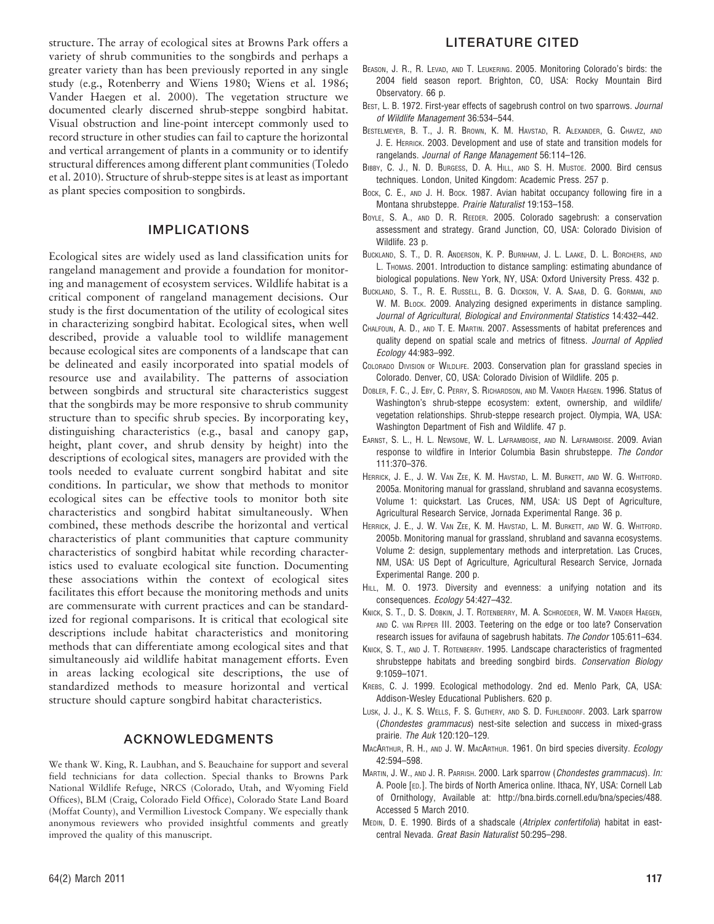structure. The array of ecological sites at Browns Park offers a variety of shrub communities to the songbirds and perhaps a greater variety than has been previously reported in any single study (e.g., Rotenberry and Wiens 1980; Wiens et al. 1986; Vander Haegen et al. 2000). The vegetation structure we documented clearly discerned shrub-steppe songbird habitat. Visual obstruction and line-point intercept commonly used to record structure in other studies can fail to capture the horizontal and vertical arrangement of plants in a community or to identify structural differences among different plant communities (Toledo et al. 2010). Structure of shrub-steppe sites is at least as important as plant species composition to songbirds.

## IMPLICATIONS

Ecological sites are widely used as land classification units for rangeland management and provide a foundation for monitoring and management of ecosystem services. Wildlife habitat is a critical component of rangeland management decisions. Our study is the first documentation of the utility of ecological sites in characterizing songbird habitat. Ecological sites, when well described, provide a valuable tool to wildlife management because ecological sites are components of a landscape that can be delineated and easily incorporated into spatial models of resource use and availability. The patterns of association between songbirds and structural site characteristics suggest that the songbirds may be more responsive to shrub community structure than to specific shrub species. By incorporating key, distinguishing characteristics (e.g., basal and canopy gap, height, plant cover, and shrub density by height) into the descriptions of ecological sites, managers are provided with the tools needed to evaluate current songbird habitat and site conditions. In particular, we show that methods to monitor ecological sites can be effective tools to monitor both site characteristics and songbird habitat simultaneously. When combined, these methods describe the horizontal and vertical characteristics of plant communities that capture community characteristics of songbird habitat while recording characteristics used to evaluate ecological site function. Documenting these associations within the context of ecological sites facilitates this effort because the monitoring methods and units are commensurate with current practices and can be standardized for regional comparisons. It is critical that ecological site descriptions include habitat characteristics and monitoring methods that can differentiate among ecological sites and that simultaneously aid wildlife habitat management efforts. Even in areas lacking ecological site descriptions, the use of standardized methods to measure horizontal and vertical structure should capture songbird habitat characteristics.

### ACKNOWLEDGMENTS

We thank W. King, R. Laubhan, and S. Beauchaine for support and several field technicians for data collection. Special thanks to Browns Park National Wildlife Refuge, NRCS (Colorado, Utah, and Wyoming Field Offices), BLM (Craig, Colorado Field Office), Colorado State Land Board (Moffat County), and Vermillion Livestock Company. We especially thank anonymous reviewers who provided insightful comments and greatly improved the quality of this manuscript.

## LITERATURE CITED

- BEASON, J. R., R. LEVAD, AND T. LEUKERING. 2005. Monitoring Colorado's birds: the 2004 field season report. Brighton, CO, USA: Rocky Mountain Bird Observatory. 66 p.
- BEST, L. B. 1972. First-year effects of sagebrush control on two sparrows. Journal of Wildlife Management 36:534–544.
- BESTELMEYER, B. T., J. R. BROWN, K. M. HAVSTAD, R. ALEXANDER, G. CHAVEZ, AND J. E. HERRICK. 2003. Development and use of state and transition models for rangelands. Journal of Range Management 56:114–126.
- BIBBY, C. J., N. D. BURGESS, D. A. HILL, AND S. H. MUSTOE. 2000. Bird census techniques. London, United Kingdom: Academic Press. 257 p.
- Bock, C. E., AND J. H. Bock. 1987. Avian habitat occupancy following fire in a Montana shrubsteppe. Prairie Naturalist 19:153–158.
- BOYLE, S. A., AND D. R. REEDER. 2005. Colorado sagebrush: a conservation assessment and strategy. Grand Junction, CO, USA: Colorado Division of Wildlife. 23 p.
- BUCKLAND, S. T., D. R. ANDERSON, K. P. BURNHAM, J. L. LAAKE, D. L. BORCHERS, AND L. THOMAS. 2001. Introduction to distance sampling: estimating abundance of biological populations. New York, NY, USA: Oxford University Press. 432 p.
- BUCKLAND, S. T., R. E. RUSSELL, B. G. DICKSON, V. A. SAAB, D. G. GORMAN, AND W. M. BLOCK. 2009. Analyzing designed experiments in distance sampling. Journal of Agricultural, Biological and Environmental Statistics 14:432–442.
- CHALFOUN, A. D., AND T. E. MARTIN. 2007. Assessments of habitat preferences and quality depend on spatial scale and metrics of fitness. Journal of Applied Ecology 44:983–992.
- COLORADO DIVISION OF WILDLIFE. 2003. Conservation plan for grassland species in Colorado. Denver, CO, USA: Colorado Division of Wildlife. 205 p.
- DOBLER, F. C., J. EBY, C. PERRY, S. RICHARDSON, AND M. VANDER HAEGEN. 1996. Status of Washington's shrub-steppe ecosystem: extent, ownership, and wildlife/ vegetation relationships. Shrub-steppe research project. Olympia, WA, USA: Washington Department of Fish and Wildlife. 47 p.
- EARNST, S. L., H. L. NEWSOME, W. L. LAFRAMBOISE, AND N. LAFRAMBOISE. 2009. Avian response to wildfire in Interior Columbia Basin shrubsteppe. The Condor 111:370–376.
- HERRICK, J. E., J. W. VAN ZEE, K. M. HAVSTAD, L. M. BURKETT, AND W. G. WHITFORD. 2005a. Monitoring manual for grassland, shrubland and savanna ecosystems. Volume 1: quickstart. Las Cruces, NM, USA: US Dept of Agriculture, Agricultural Research Service, Jornada Experimental Range. 36 p.
- HERRICK, J. E., J. W. VAN ZEE, K. M. HAVSTAD, L. M. BURKETT, AND W. G. WHITFORD. 2005b. Monitoring manual for grassland, shrubland and savanna ecosystems. Volume 2: design, supplementary methods and interpretation. Las Cruces, NM, USA: US Dept of Agriculture, Agricultural Research Service, Jornada Experimental Range. 200 p.
- HILL, M. O. 1973. Diversity and evenness: a unifying notation and its consequences. Ecology 54:427–432.
- KNICK, S. T., D. S. DOBKIN, J. T. ROTENBERRY, M. A. SCHROEDER, W. M. VANDER HAEGEN, AND C. VAN RIPPER III. 2003. Teetering on the edge or too late? Conservation research issues for avifauna of sagebrush habitats. The Condor 105:611–634.
- KNICK, S. T., AND J. T. ROTENBERRY. 1995. Landscape characteristics of fragmented shrubsteppe habitats and breeding songbird birds. Conservation Biology 9:1059–1071.
- KREBS, C. J. 1999. Ecological methodology. 2nd ed. Menlo Park, CA, USA: Addison-Wesley Educational Publishers. 620 p.
- LUSK, J. J., K. S. WELLS, F. S. GUTHERY, AND S. D. FUHLENDORF. 2003. Lark sparrow (Chondestes grammacus) nest-site selection and success in mixed-grass prairie. The Auk 120:120–129.
- MACARTHUR, R. H., AND J. W. MACARTHUR. 1961. On bird species diversity. Ecology 42:594–598.
- MARTIN, J. W., AND J. R. PARRISH. 2000. Lark sparrow (Chondestes grammacus). In: A. Poole [ED.]. The birds of North America online. Ithaca, NY, USA: Cornell Lab of Ornithology, Available at: http://bna.birds.cornell.edu/bna/species/488. Accessed 5 March 2010.
- MEDIN, D. E. 1990. Birds of a shadscale (Atriplex confertifolia) habitat in eastcentral Nevada. Great Basin Naturalist 50:295–298.